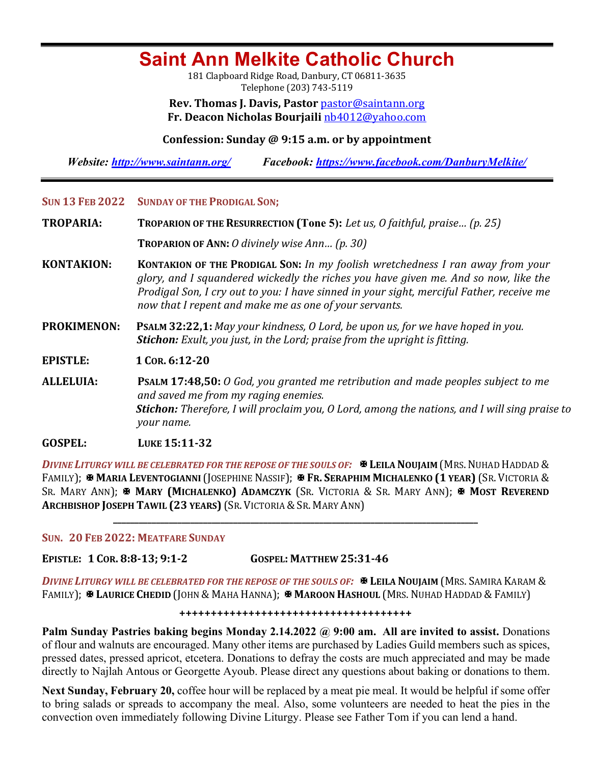# **Saint Ann Melkite Catholic Church**

181 Clapboard Ridge Road, Danbury, CT 06811-3635 Telephone (203) 743-5119

**Rev. Thomas J. Davis, Pastor** pastor@saintann.org **Fr. Deacon Nicholas Bourjaili** nb4012@yahoo.com

## **Confession: Sunday @ 9:15 a.m. or by appointment**

*Website: http://www.saintann.org/ Facebook: https://www.facebook.com/DanburyMelkite/* 

## SUN 13 FEB 2022 SUNDAY OF THE PRODIGAL SON;

**TROPARIA: TROPARION OF THE RESURRECTION (Tone 5):** Let us, O faithful, praise... (p. 25)

**TROPARION OF ANN:** *O* divinely wise Ann... (p. 30)

**KONTAKION: KONTAKION OF THE PRODIGAL SON:** *In my foolish wretchedness I ran away from your glory, and I squandered wickedly the riches you have given me. And so now, like the Prodigal Son, I cry out to you: I have sinned in your sight, merciful Father, receive me* now that I repent and make me as one of your servants.

**PROKIMENON:** PSALM 32:22,1: *May your kindness, O Lord, be upon us, for we have hoped in you. Stichon: Exult, you just, in the Lord; praise from the upright is fitting.* 

**EPISTLE: <sup>1</sup> COR. 6:12-20** 

**ALLELUIA: PSALM 17:48,50:** *O* God, you granted me retribution and made peoples subject to me *and saved me from my raging enemies.* **Stichon:** Therefore, I will proclaim you, O Lord, among the nations, and I will sing praise to *your name.* 

## **GOSPEL: LUKE 15:11-32**

*DIVINE LITURGY WILL BE CELEBRATED FOR THE REPOSE OF THE SOULS OF:*  $\mathbb{R}$  LEILA NOUJAIM (MRS. NUHAD HADDAD & FAMILY); **& MARIA LEVENTOGIANNI** (JOSEPHINE NASSIF); **& FR. SERAPHIM MICHALENKO (1 YEAR)** (SR. VICTORIA & SR. MARY ANN);  $\mathbf{\Psi}$  MARY (MICHALENKO) ADAMCZYK (SR. VICTORIA & SR. MARY ANN);  $\mathbf{\Psi}$  MOST REVEREND **ARCHBISHOP JOSEPH TAWIL (23 YEARS)** (SR. VICTORIA & SR. MARY ANN)

**\_\_\_\_\_\_\_\_\_\_\_\_\_\_\_\_\_\_\_\_\_\_\_\_\_\_\_\_\_\_\_\_\_\_\_\_\_\_\_\_\_\_\_\_\_\_\_\_\_\_\_\_\_\_\_\_\_\_\_\_\_\_\_\_\_\_\_\_\_\_\_\_\_\_\_\_\_\_\_\_\_\_\_\_\_**

## **SUN. 20 FEB 2022: MEATFARE SUNDAY**

**EPISTLE: 1 COR. 8:8-13; 9:1-2 GOSPEL: MATTHEW 25:31-46**

*DIVINE LITURGY WILL BE CELEBRATED FOR THE REPOSE OF THE SOULS OF:*X **LEILA NOUJAIM** (MRS. SAMIRA KARAM & FAMILY); **E LAURICE CHEDID** (JOHN & MAHA HANNA); **E MAROON HASHOUL** (MRS. NUHAD HADDAD & FAMILY)

#### **+++++++++++++++++++++++++++++++++++++**

**Palm Sunday Pastries baking begins Monday 2.14.2022 @ 9:00 am. All are invited to assist.** Donations of flour and walnuts are encouraged. Many other items are purchased by Ladies Guild members such as spices, pressed dates, pressed apricot, etcetera. Donations to defray the costs are much appreciated and may be made directly to Najlah Antous or Georgette Ayoub. Please direct any questions about baking or donations to them.

**Next Sunday, February 20,** coffee hour will be replaced by a meat pie meal. It would be helpful if some offer to bring salads or spreads to accompany the meal. Also, some volunteers are needed to heat the pies in the convection oven immediately following Divine Liturgy. Please see Father Tom if you can lend a hand.